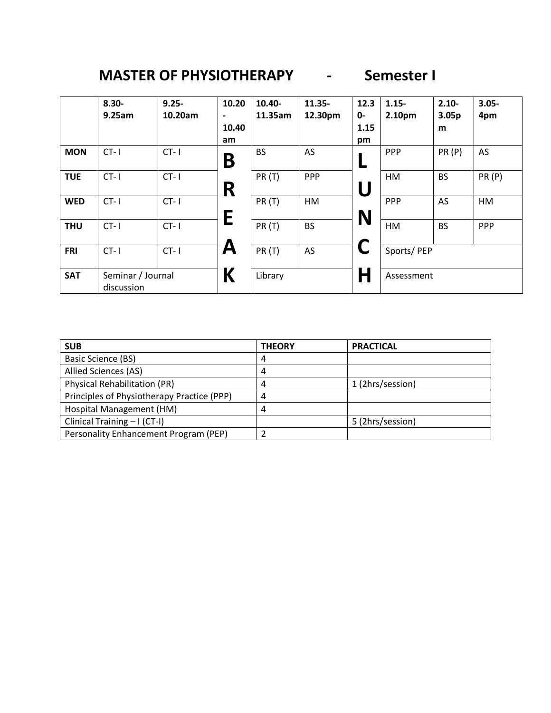## **MASTER OF PHYSIOTHERAPY - Semester I**

|            | $8.30 -$<br>9.25am              | $9.25 -$<br>10.20am | 10.20<br>$\overline{\phantom{0}}$<br>10.40<br>am | 10.40-<br>11.35am | 11.35-<br>12.30pm | 12.3<br>$0 -$<br>1.15<br>pm | $1.15 -$<br>2.10pm | $2.10 -$<br>3.05 <sub>p</sub><br>m | $3.05 -$<br>4pm |
|------------|---------------------------------|---------------------|--------------------------------------------------|-------------------|-------------------|-----------------------------|--------------------|------------------------------------|-----------------|
| <b>MON</b> | $CT - 1$                        | $CT - 1$            | Β                                                | <b>BS</b>         | AS                |                             | <b>PPP</b>         | PR(P)                              | AS              |
| <b>TUE</b> | $CT - 1$                        | $CT - 1$            | R                                                | <b>PR (T)</b>     | PPP               | U                           | HM                 | <b>BS</b>                          | PR(P)           |
| <b>WED</b> | $CT - 1$                        | $CT - 1$            | E                                                | PR(T)             | HM                |                             | PPP                | AS                                 | HM              |
| <b>THU</b> | $CT - 1$                        | $CT - 1$            |                                                  | PR(T)             | <b>BS</b>         | N                           | HM                 | <b>BS</b>                          | PPP             |
| <b>FRI</b> | $CT - 1$                        | $CT - 1$            | A                                                | PR(T)             | AS                |                             | Sports/PEP         |                                    |                 |
| <b>SAT</b> | Seminar / Journal<br>discussion |                     | К                                                | Library           |                   | H                           | Assessment         |                                    |                 |

| <b>SUB</b>                                 | <b>THEORY</b> | <b>PRACTICAL</b> |
|--------------------------------------------|---------------|------------------|
| Basic Science (BS)                         | 4             |                  |
| Allied Sciences (AS)                       | 4             |                  |
| <b>Physical Rehabilitation (PR)</b>        | 4             | 1 (2hrs/session) |
| Principles of Physiotherapy Practice (PPP) | 4             |                  |
| Hospital Management (HM)                   | 4             |                  |
| Clinical Training - I (CT-I)               |               | 5 (2hrs/session) |
| Personality Enhancement Program (PEP)      |               |                  |